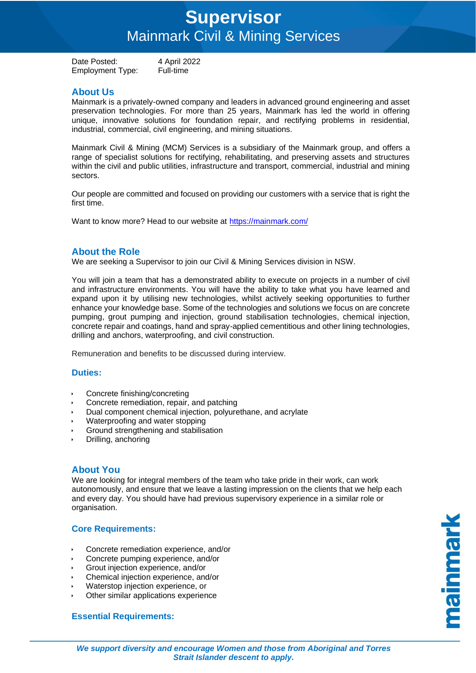# **Supervisor**  Mainmark Civil & Mining Services

Date Posted: 4 April 2022 Employment Type: Full-time

# **About Us**

Mainmark is a privately-owned company and leaders in advanced ground engineering and asset preservation technologies. For more than 25 years, Mainmark has led the world in offering unique, innovative solutions for foundation repair, and rectifying problems in residential, industrial, commercial, civil engineering, and mining situations.

Mainmark Civil & Mining (MCM) Services is a subsidiary of the Mainmark group, and offers a range of specialist solutions for rectifying, rehabilitating, and preserving assets and structures within the civil and public utilities, infrastructure and transport, commercial, industrial and mining sectors.

Our people are committed and focused on providing our customers with a service that is right the first time.

Want to know more? Head to our website at<https://mainmark.com/>

## **About the Role**

We are seeking a Supervisor to join our Civil & Mining Services division in NSW.

You will join a team that has a demonstrated ability to execute on projects in a number of civil and infrastructure environments. You will have the ability to take what you have learned and expand upon it by utilising new technologies, whilst actively seeking opportunities to further enhance your knowledge base. Some of the technologies and solutions we focus on are concrete pumping, grout pumping and injection, ground stabilisation technologies, chemical injection, concrete repair and coatings, hand and spray-applied cementitious and other lining technologies, drilling and anchors, waterproofing, and civil construction.

Remuneration and benefits to be discussed during interview.

#### **Duties:**

- Concrete finishing/concreting
- Concrete remediation, repair, and patching
- Dual component chemical injection, polyurethane, and acrylate
- Waterproofing and water stopping
- Ground strengthening and stabilisation
- Drilling, anchoring

### **About You**

We are looking for integral members of the team who take pride in their work, can work autonomously, and ensure that we leave a lasting impression on the clients that we help each and every day. You should have had previous supervisory experience in a similar role or organisation.

### **Core Requirements:**

- Concrete remediation experience, and/or
- Concrete pumping experience, and/or
- Grout injection experience, and/or
- Chemical injection experience, and/or
- Waterstop injection experience, or
- Other similar applications experience

### **Essential Requirements:**